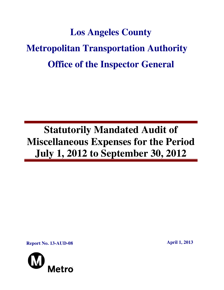# **Los Angeles County Metropolitan Transportation Authority Office of the Inspector General**

## **Statutorily Mandated Audit of Miscellaneous Expenses for the Period July 1, 2012 to September 30, 2012**

**Report No. 13-AUD-08 April 1, 2013** 

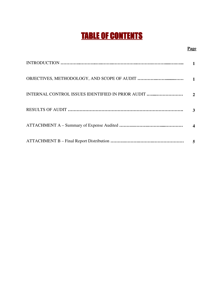## TABLE OF CONTENTS

#### **Page**

|                                                   | $\mathbf{1}$          |
|---------------------------------------------------|-----------------------|
| INTERNAL CONTROL ISSUES IDENTIFIED IN PRIOR AUDIT | $\mathcal{D}_{\cdot}$ |
|                                                   | 3                     |
|                                                   |                       |
|                                                   | 5                     |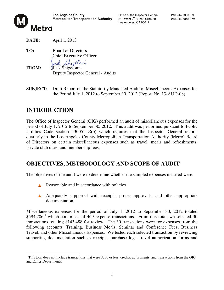

Los Angeles, CA 90017



**DATE:** April 1, 2013

**TO:** Board of Directors Chief Executive Officer Sheatoni **FROM:** Jack Shigetomi

Deputy Inspector General - Audits

**SUBJECT:** Draft Report on the Statutorily Mandated Audit of Miscellaneous Expenses for the Period July 1, 2012 to September 30, 2012 (Report No. 13-AUD-08)

## **INTRODUCTION**

The Office of Inspector General (OIG) performed an audit of miscellaneous expenses for the period of July 1, 2012 to September 30, 2012. This audit was performed pursuant to Public Utilities Code section 130051.28(b) which requires that the Inspector General reports quarterly to the Los Angeles County Metropolitan Transportation Authority (Metro) Board of Directors on certain miscellaneous expenses such as travel, meals and refreshments, private club dues, and membership fees.

## **OBJECTIVES, METHODOLOGY AND SCOPE OF AUDIT**

The objectives of the audit were to determine whether the sampled expenses incurred were:

- Å Reasonable and in accordance with policies.
- A Adequately supported with receipts, proper approvals, and other appropriate documentation.

Miscellaneous expenses for the period of July 1, 2012 to September 30, 2012 totaled  $$594,706$ ,<sup>1</sup> which comprised of 469 expense transactions. From this total, we selected 30 transactions totaling \$143,488 for review. The 30 transactions were for expenses from the following accounts: Training, Business Meals, Seminar and Conference Fees, Business Travel, and other Miscellaneous Expenses. We tested each selected transaction by reviewing supporting documentation such as receipts, purchase logs, travel authorization forms and

<sup>&</sup>lt;sup>1</sup>This total does not include transactions that were \$200 or less, credits, adjustments, and transactions from the OIG and Ethics Departments.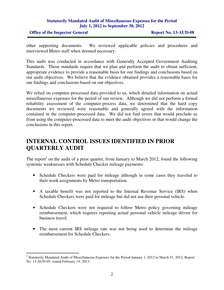#### **Statutorily Mandated Audit of Miscellaneous Expenses for the Period July 1, 2012 to September 30, 2012**

**Office of the Inspector General Report No. 13-AUD-08** 

other supporting documents. We reviewed applicable policies and procedures and interviewed Metro staff when deemed necessary.

This audit was conducted in accordance with Generally Accepted Government Auditing Standards. Those standards require that we plan and perform the audit to obtain sufficient, appropriate evidence to provide a reasonable basis for our findings and conclusions based on our audit objectives. We believe that the evidence obtained provides a reasonable basis for our findings and conclusions based on our objectives.

We relied on computer-processed data provided to us, which detailed information on actual miscellaneous expenses for the period of our review. Although we did not perform a formal reliability assessment of the computer-process data, we determined that the hard copy documents we reviewed were reasonable and generally agreed with the information contained in the computer-processed data. We did not find errors that would preclude us from using the computer-processed data to meet the audit objectives or that would change the conclusions in this report.

## **INTERNAL CONTROL ISSUES IDENTIFIED IN PRIOR QUARTERLY AUDIT**

The report<sup>2</sup> on the audit of a prior quarter, from January to March 2012, found the following systemic weaknesses with Schedule Checker mileage payments:

- Schedule Checkers were paid for mileage although in some cases they traveled to their work assignments by Metro transportation.
- A taxable benefit was not reported to the Internal Revenue Service (IRS) when Schedule Checkers were paid for mileage but did not use their personal vehicle.
- Schedule Checkers were not required to follow Metro policy governing mileage reimbursement, which requires reporting actual personal vehicle mileage driven for business travel.
- The most current IRS mileage rate was not being used to determine the mileage reimbursement for Schedule Checkers.

<sup>&</sup>lt;sup>2</sup> Statutorily Mandated Audit of Miscellaneous Expenses for the Period January 1, 2012 to March 31, 2012; Report No. 13-AUD-05, issued February 14, 2013.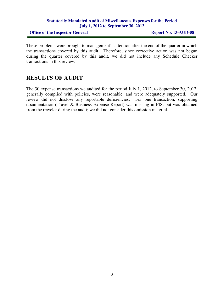#### **Statutorily Mandated Audit of Miscellaneous Expenses for the Period July 1, 2012 to September 30, 2012**

**Office of the Inspector General Report No. 13-AUD-08** 

These problems were brought to management's attention after the end of the quarter in which the transactions covered by this audit. Therefore, since corrective action was not begun during the quarter covered by this audit, we did not include any Schedule Checker transactions in this review.

## **RESULTS OF AUDIT**

The 30 expense transactions we audited for the period July 1, 2012, to September 30, 2012, generally complied with policies, were reasonable, and were adequately supported. Our review did not disclose any reportable deficiencies. For one transaction, supporting documentation (Travel & Business Expense Report) was missing in FIS, but was obtained from the traveler during the audit; we did not consider this omission material.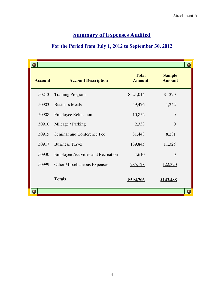## **Summa Summary of Expenses Audited**

#### For the Period from July 1, 2012 to September 30, 2012

| <b>Account</b> | <b>Account Description</b>                | <b>Total</b><br><b>Amount</b> | <b>Sample</b><br><b>Amount</b> |
|----------------|-------------------------------------------|-------------------------------|--------------------------------|
| 50213          | <b>Training Program</b>                   | \$21,014                      | $\mathbb{S}$<br>320            |
| 50903          | <b>Business Meals</b>                     | 49,476                        | 1,242                          |
| 50908          | <b>Employee Relocation</b>                | 10,852                        | $\overline{0}$                 |
| 50910          | Mileage / Parking                         | 2,333                         | $\overline{0}$                 |
| 50915          | Seminar and Conference Fee                | 81,448                        | 8,281                          |
| 50917          | <b>Business Travel</b>                    | 139,845                       | 11,325                         |
| 50930          | <b>Employee Activities and Recreation</b> | 4,610                         | $\overline{0}$                 |
| 50999          | <b>Other Miscellaneous Expenses</b>       | 285,128                       | <u>122,320</u>                 |
|                | <b>Totals</b>                             | \$594,706                     | \$143,488                      |
|                |                                           |                               |                                |